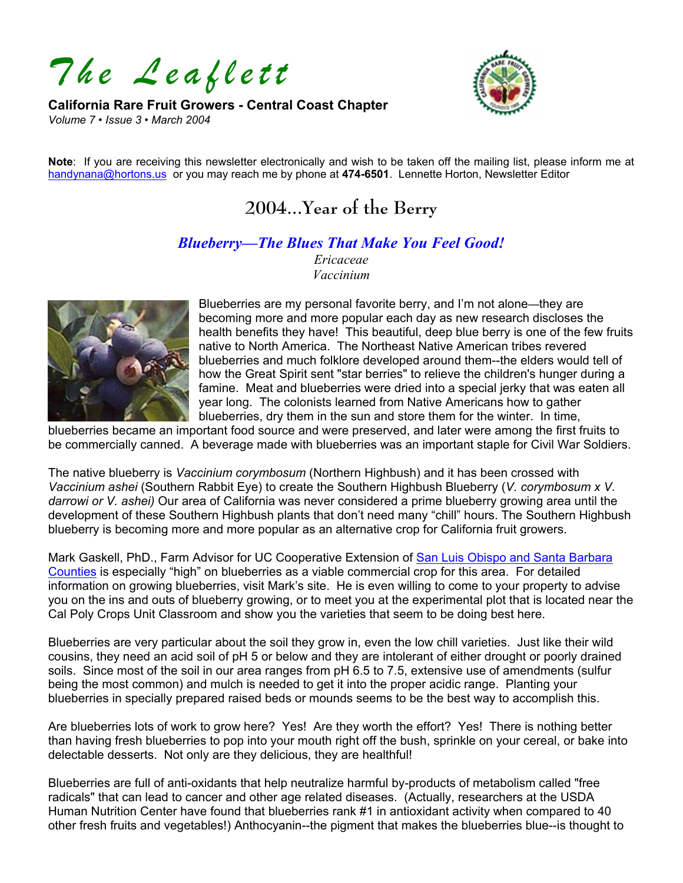*The Leaflett* 

#### **California Rare Fruit Growers - Central Coast Chapter**  *Volume 7 • Issue 3 • March 2004*



**Note**: If you are receiving this newsletter electronically and wish to be taken off the mailing list, please inform me at [handynana@hortons.us](mailto:handynana@hortons.us) or you may reach me by phone at **474-6501**. Lennette Horton, Newsletter Editor

# **2004...Year of the Berry**

#### *Blueberry—The Blues That Make You Feel Good!*

*Ericaceae Vaccinium* 



Blueberries are my personal favorite berry, and I'm not alone—they are becoming more and more popular each day as new research discloses the health benefits they have! This beautiful, deep blue berry is one of the few fruits native to North America. The Northeast Native American tribes revered blueberries and much folklore developed around them--the elders would tell of how the Great Spirit sent "star berries" to relieve the children's hunger during a famine. Meat and blueberries were dried into a special jerky that was eaten all year long. The colonists learned from Native Americans how to gather blueberries, dry them in the sun and store them for the winter. In time,

blueberries became an important food source and were preserved, and later were among the first fruits to be commercially canned. A beverage made with blueberries was an important staple for Civil War Soldiers.

The native blueberry is *Vaccinium corymbosum* (Northern Highbush) and it has been crossed with *Vaccinium ashei* (Southern Rabbit Eye) to create the Southern Highbush Blueberry (*V. corymbosum x V. darrowi or V. ashei)* Our area of California was never considered a prime blueberry growing area until the development of these Southern Highbush plants that don't need many "chill" hours. The Southern Highbush blueberry is becoming more and more popular as an alternative crop for California fruit growers.

Mark Gaskell, PhD., Farm Advisor for UC Cooperative Extension of San Luis Obispo and Santa Barbara [Counties](http://www.sbceo.k12.ca.us/~uccesb1/page3.htm) is especially "high" on blueberries as a viable commercial crop for this area. For detailed information on growing blueberries, visit Mark's site. He is even willing to come to your property to advise you on the ins and outs of blueberry growing, or to meet you at the experimental plot that is located near the Cal Poly Crops Unit Classroom and show you the varieties that seem to be doing best here.

Blueberries are very particular about the soil they grow in, even the low chill varieties. Just like their wild cousins, they need an acid soil of pH 5 or below and they are intolerant of either drought or poorly drained soils. Since most of the soil in our area ranges from pH 6.5 to 7.5, extensive use of amendments (sulfur being the most common) and mulch is needed to get it into the proper acidic range. Planting your blueberries in specially prepared raised beds or mounds seems to be the best way to accomplish this.

Are blueberries lots of work to grow here? Yes! Are they worth the effort? Yes! There is nothing better than having fresh blueberries to pop into your mouth right off the bush, sprinkle on your cereal, or bake into delectable desserts. Not only are they delicious, they are healthful!

Blueberries are full of anti-oxidants that help neutralize harmful by-products of metabolism called "free radicals" that can lead to cancer and other age related diseases. (Actually, researchers at the USDA Human Nutrition Center have found that blueberries rank #1 in antioxidant activity when compared to 40 other fresh fruits and vegetables!) Anthocyanin--the pigment that makes the blueberries blue--is thought to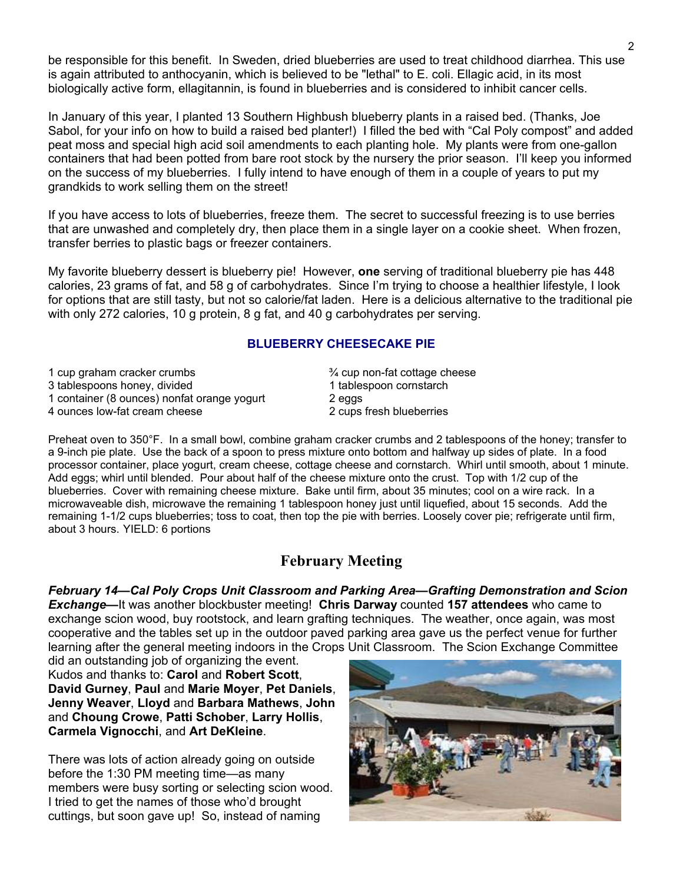be responsible for this benefit. In Sweden, dried blueberries are used to treat childhood diarrhea. This use is again attributed to anthocyanin, which is believed to be "lethal" to E. coli. Ellagic acid, in its most biologically active form, ellagitannin, is found in blueberries and is considered to inhibit cancer cells.

In January of this year, I planted 13 Southern Highbush blueberry plants in a raised bed. (Thanks, Joe Sabol, for your info on how to build a raised bed planter!) I filled the bed with "Cal Poly compost" and added peat moss and special high acid soil amendments to each planting hole. My plants were from one-gallon containers that had been potted from bare root stock by the nursery the prior season. I'll keep you informed on the success of my blueberries. I fully intend to have enough of them in a couple of years to put my grandkids to work selling them on the street!

If you have access to lots of blueberries, freeze them. The secret to successful freezing is to use berries that are unwashed and completely dry, then place them in a single layer on a cookie sheet. When frozen, transfer berries to plastic bags or freezer containers.

My favorite blueberry dessert is blueberry pie! However, **one** serving of traditional blueberry pie has 448 calories, 23 grams of fat, and 58 g of carbohydrates. Since I'm trying to choose a healthier lifestyle, I look for options that are still tasty, but not so calorie/fat laden. Here is a delicious alternative to the traditional pie with only 272 calories, 10 g protein, 8 g fat, and 40 g carbohydrates per serving.

#### **BLUEBERRY CHEESECAKE PIE**

| 1 cup graham cracker crumbs<br>3 tablespoons honey, divided | $\frac{3}{4}$ cup non-fat cottage cheese<br>1 tablespoon cornstarch |
|-------------------------------------------------------------|---------------------------------------------------------------------|
| 1 container (8 ounces) nonfat orange yogurt                 | 2 eggs                                                              |
| 4 ounces low-fat cream cheese                               | 2 cups fresh blueberries                                            |

Preheat oven to 350°F. In a small bowl, combine graham cracker crumbs and 2 tablespoons of the honey; transfer to a 9-inch pie plate. Use the back of a spoon to press mixture onto bottom and halfway up sides of plate. In a food processor container, place yogurt, cream cheese, cottage cheese and cornstarch. Whirl until smooth, about 1 minute. Add eggs; whirl until blended. Pour about half of the cheese mixture onto the crust. Top with 1/2 cup of the blueberries. Cover with remaining cheese mixture. Bake until firm, about 35 minutes; cool on a wire rack. In a microwaveable dish, microwave the remaining 1 tablespoon honey just until liquefied, about 15 seconds. Add the remaining 1-1/2 cups blueberries; toss to coat, then top the pie with berries. Loosely cover pie; refrigerate until firm, about 3 hours. YIELD: 6 portions

### **February Meeting**

*February 14—Cal Poly Crops Unit Classroom and Parking Area—Grafting Demonstration and Scion Exchange—*It was another blockbuster meeting! **Chris Darway** counted **157 attendees** who came to exchange scion wood, buy rootstock, and learn grafting techniques. The weather, once again, was most cooperative and the tables set up in the outdoor paved parking area gave us the perfect venue for further learning after the general meeting indoors in the Crops Unit Classroom. The Scion Exchange Committee

did an outstanding job of organizing the event. Kudos and thanks to: **Carol** and **Robert Scott**, **David Gurney**, **Paul** and **Marie Moyer**, **Pet Daniels**, **Jenny Weaver**, **Lloyd** and **Barbara Mathews**, **John** and **Choung Crowe**, **Patti Schober**, **Larry Hollis**, **Carmela Vignocchi**, and **Art DeKleine**.

There was lots of action already going on outside before the 1:30 PM meeting time—as many members were busy sorting or selecting scion wood. I tried to get the names of those who'd brought cuttings, but soon gave up! So, instead of naming

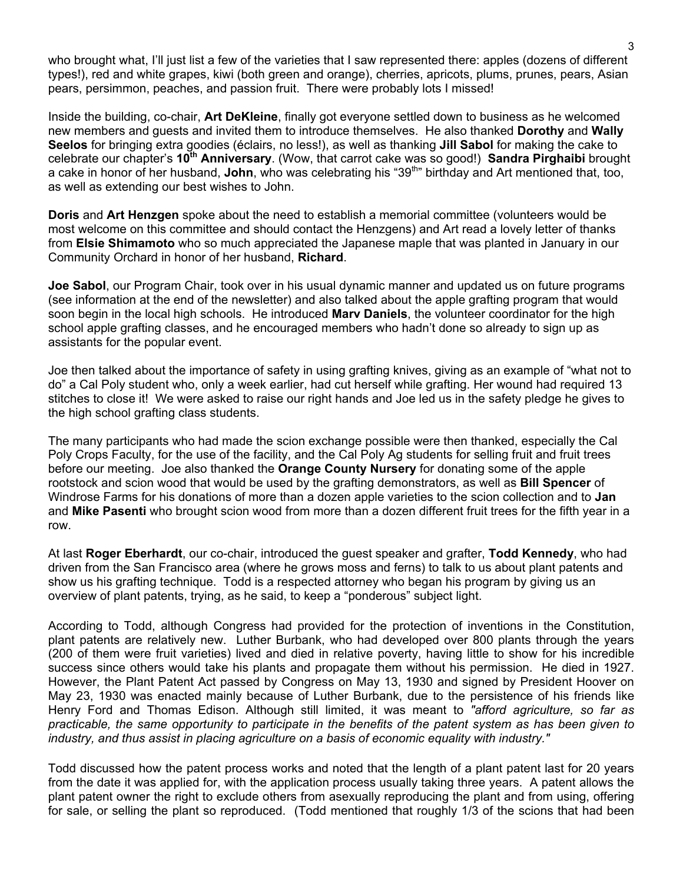who brought what, I'll just list a few of the varieties that I saw represented there: apples (dozens of different types!), red and white grapes, kiwi (both green and orange), cherries, apricots, plums, prunes, pears, Asian pears, persimmon, peaches, and passion fruit. There were probably lots I missed!

Inside the building, co-chair, **Art DeKleine**, finally got everyone settled down to business as he welcomed new members and guests and invited them to introduce themselves. He also thanked **Dorothy** and **Wally Seelos** for bringing extra goodies (éclairs, no less!), as well as thanking **Jill Sabol** for making the cake to celebrate our chapter's **10th Anniversary**. (Wow, that carrot cake was so good!) **Sandra Pirghaibi** brought a cake in honor of her husband, **John**, who was celebrating his "39th" birthday and Art mentioned that, too, as well as extending our best wishes to John.

**Doris** and **Art Henzgen** spoke about the need to establish a memorial committee (volunteers would be most welcome on this committee and should contact the Henzgens) and Art read a lovely letter of thanks from **Elsie Shimamoto** who so much appreciated the Japanese maple that was planted in January in our Community Orchard in honor of her husband, **Richard**.

**Joe Sabol**, our Program Chair, took over in his usual dynamic manner and updated us on future programs (see information at the end of the newsletter) and also talked about the apple grafting program that would soon begin in the local high schools. He introduced **Marv Daniels**, the volunteer coordinator for the high school apple grafting classes, and he encouraged members who hadn't done so already to sign up as assistants for the popular event.

Joe then talked about the importance of safety in using grafting knives, giving as an example of "what not to do" a Cal Poly student who, only a week earlier, had cut herself while grafting. Her wound had required 13 stitches to close it! We were asked to raise our right hands and Joe led us in the safety pledge he gives to the high school grafting class students.

The many participants who had made the scion exchange possible were then thanked, especially the Cal Poly Crops Faculty, for the use of the facility, and the Cal Poly Ag students for selling fruit and fruit trees before our meeting. Joe also thanked the **Orange County Nursery** for donating some of the apple rootstock and scion wood that would be used by the grafting demonstrators, as well as **Bill Spencer** of Windrose Farms for his donations of more than a dozen apple varieties to the scion collection and to **Jan** and **Mike Pasenti** who brought scion wood from more than a dozen different fruit trees for the fifth year in a row.

At last **Roger Eberhardt**, our co-chair, introduced the guest speaker and grafter, **Todd Kennedy**, who had driven from the San Francisco area (where he grows moss and ferns) to talk to us about plant patents and show us his grafting technique. Todd is a respected attorney who began his program by giving us an overview of plant patents, trying, as he said, to keep a "ponderous" subject light.

According to Todd, although Congress had provided for the protection of inventions in the Constitution, plant patents are relatively new. Luther Burbank, who had developed over 800 plants through the years (200 of them were fruit varieties) lived and died in relative poverty, having little to show for his incredible success since others would take his plants and propagate them without his permission. He died in 1927. However, the Plant Patent Act passed by Congress on May 13, 1930 and signed by President Hoover on May 23, 1930 was enacted mainly because of Luther Burbank, due to the persistence of his friends like Henry Ford and Thomas Edison. Although still limited, it was meant to *"afford agriculture, so far as practicable, the same opportunity to participate in the benefits of the patent system as has been given to industry, and thus assist in placing agriculture on a basis of economic equality with industry."* 

Todd discussed how the patent process works and noted that the length of a plant patent last for 20 years from the date it was applied for, with the application process usually taking three years. A patent allows the plant patent owner the right to exclude others from asexually reproducing the plant and from using, offering for sale, or selling the plant so reproduced. (Todd mentioned that roughly 1/3 of the scions that had been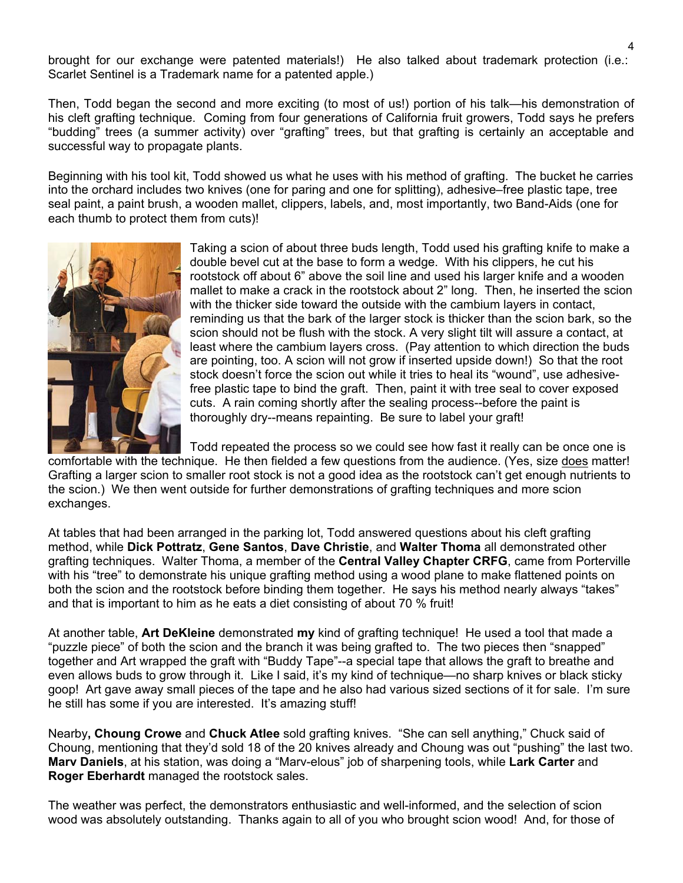brought for our exchange were patented materials!) He also talked about trademark protection (i.e.: Scarlet Sentinel is a Trademark name for a patented apple.)

Then, Todd began the second and more exciting (to most of us!) portion of his talk—his demonstration of his cleft grafting technique. Coming from four generations of California fruit growers, Todd says he prefers "budding" trees (a summer activity) over "grafting" trees, but that grafting is certainly an acceptable and successful way to propagate plants.

Beginning with his tool kit, Todd showed us what he uses with his method of grafting. The bucket he carries into the orchard includes two knives (one for paring and one for splitting), adhesive–free plastic tape, tree seal paint, a paint brush, a wooden mallet, clippers, labels, and, most importantly, two Band-Aids (one for each thumb to protect them from cuts)!



Taking a scion of about three buds length, Todd used his grafting knife to make a double bevel cut at the base to form a wedge. With his clippers, he cut his rootstock off about 6" above the soil line and used his larger knife and a wooden mallet to make a crack in the rootstock about 2" long. Then, he inserted the scion with the thicker side toward the outside with the cambium layers in contact, reminding us that the bark of the larger stock is thicker than the scion bark, so the scion should not be flush with the stock. A very slight tilt will assure a contact, at least where the cambium layers cross. (Pay attention to which direction the buds are pointing, too. A scion will not grow if inserted upside down!) So that the root stock doesn't force the scion out while it tries to heal its "wound", use adhesivefree plastic tape to bind the graft. Then, paint it with tree seal to cover exposed cuts. A rain coming shortly after the sealing process--before the paint is thoroughly dry--means repainting. Be sure to label your graft!

Todd repeated the process so we could see how fast it really can be once one is comfortable with the technique. He then fielded a few questions from the audience. (Yes, size does matter! Grafting a larger scion to smaller root stock is not a good idea as the rootstock can't get enough nutrients to the scion.) We then went outside for further demonstrations of grafting techniques and more scion exchanges.

At tables that had been arranged in the parking lot, Todd answered questions about his cleft grafting method, while **Dick Pottratz**, **Gene Santos**, **Dave Christie**, and **Walter Thoma** all demonstrated other grafting techniques. Walter Thoma, a member of the **Central Valley Chapter CRFG**, came from Porterville with his "tree" to demonstrate his unique grafting method using a wood plane to make flattened points on both the scion and the rootstock before binding them together. He says his method nearly always "takes" and that is important to him as he eats a diet consisting of about 70 % fruit!

At another table, **Art DeKleine** demonstrated **my** kind of grafting technique! He used a tool that made a "puzzle piece" of both the scion and the branch it was being grafted to. The two pieces then "snapped" together and Art wrapped the graft with "Buddy Tape"--a special tape that allows the graft to breathe and even allows buds to grow through it. Like I said, it's my kind of technique—no sharp knives or black sticky goop! Art gave away small pieces of the tape and he also had various sized sections of it for sale. I'm sure he still has some if you are interested. It's amazing stuff!

Nearby**, Choung Crowe** and **Chuck Atlee** sold grafting knives. "She can sell anything," Chuck said of Choung, mentioning that they'd sold 18 of the 20 knives already and Choung was out "pushing" the last two. **Marv Daniels**, at his station, was doing a "Marv-elous" job of sharpening tools, while **Lark Carter** and **Roger Eberhardt** managed the rootstock sales.

The weather was perfect, the demonstrators enthusiastic and well-informed, and the selection of scion wood was absolutely outstanding. Thanks again to all of you who brought scion wood! And, for those of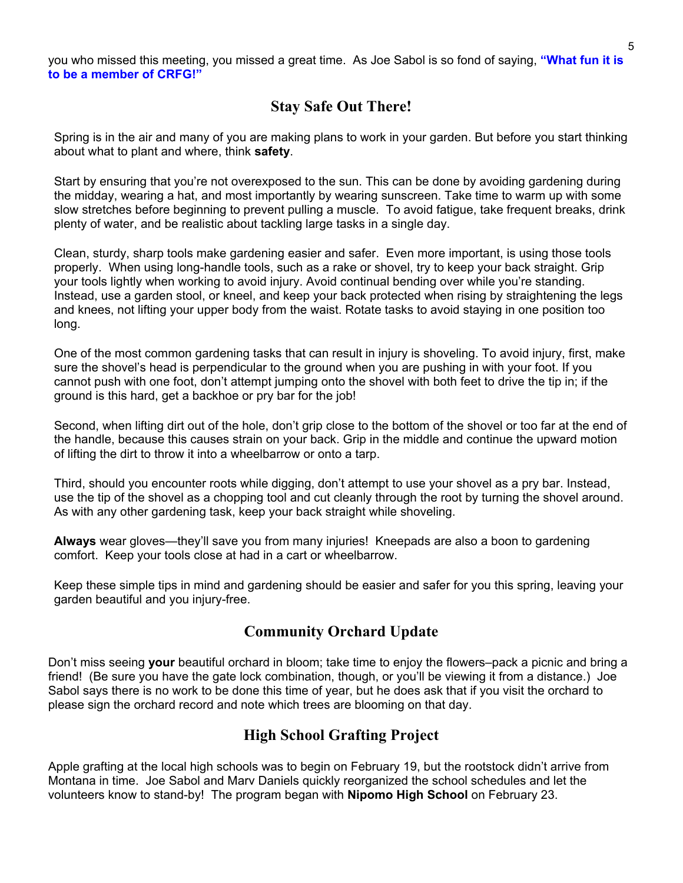you who missed this meeting, you missed a great time. As Joe Sabol is so fond of saying, **"What fun it is to be a member of CRFG!"** 

## **Stay Safe Out There!**

Spring is in the air and many of you are making plans to work in your garden. But before you start thinking about what to plant and where, think **safety**.

Start by ensuring that you're not overexposed to the sun. This can be done by avoiding gardening during the midday, wearing a hat, and most importantly by wearing sunscreen. Take time to warm up with some slow stretches before beginning to prevent pulling a muscle. To avoid fatigue, take frequent breaks, drink plenty of water, and be realistic about tackling large tasks in a single day.

Clean, sturdy, sharp tools make gardening easier and safer. Even more important, is using those tools properly. When using long-handle tools, such as a rake or shovel, try to keep your back straight. Grip your tools lightly when working to avoid injury. Avoid continual bending over while you're standing. Instead, use a garden stool, or kneel, and keep your back protected when rising by straightening the legs and knees, not lifting your upper body from the waist. Rotate tasks to avoid staying in one position too long.

One of the most common gardening tasks that can result in injury is shoveling. To avoid injury, first, make sure the shovel's head is perpendicular to the ground when you are pushing in with your foot. If you cannot push with one foot, don't attempt jumping onto the shovel with both feet to drive the tip in; if the ground is this hard, get a backhoe or pry bar for the job!

Second, when lifting dirt out of the hole, don't grip close to the bottom of the shovel or too far at the end of the handle, because this causes strain on your back. Grip in the middle and continue the upward motion of lifting the dirt to throw it into a wheelbarrow or onto a tarp.

Third, should you encounter roots while digging, don't attempt to use your shovel as a pry bar. Instead, use the tip of the shovel as a chopping tool and cut cleanly through the root by turning the shovel around. As with any other gardening task, keep your back straight while shoveling.

**Always** wear gloves—they'll save you from many injuries! Kneepads are also a boon to gardening comfort. Keep your tools close at had in a cart or wheelbarrow.

Keep these simple tips in mind and gardening should be easier and safer for you this spring, leaving your garden beautiful and you injury-free.

### **Community Orchard Update**

Don't miss seeing **your** beautiful orchard in bloom; take time to enjoy the flowers–pack a picnic and bring a friend! (Be sure you have the gate lock combination, though, or you'll be viewing it from a distance.) Joe Sabol says there is no work to be done this time of year, but he does ask that if you visit the orchard to please sign the orchard record and note which trees are blooming on that day.

### **High School Grafting Project**

Apple grafting at the local high schools was to begin on February 19, but the rootstock didn't arrive from Montana in time. Joe Sabol and Marv Daniels quickly reorganized the school schedules and let the volunteers know to stand-by! The program began with **Nipomo High School** on February 23.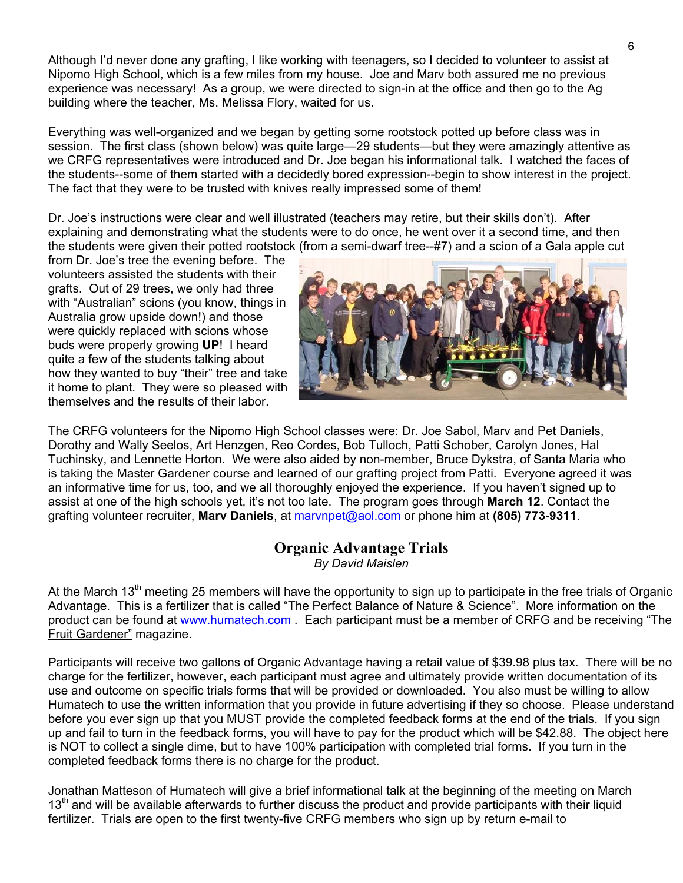Although I'd never done any grafting, I like working with teenagers, so I decided to volunteer to assist at Nipomo High School, which is a few miles from my house. Joe and Marv both assured me no previous experience was necessary! As a group, we were directed to sign-in at the office and then go to the Ag building where the teacher, Ms. Melissa Flory, waited for us.

Everything was well-organized and we began by getting some rootstock potted up before class was in session. The first class (shown below) was quite large—29 students—but they were amazingly attentive as we CRFG representatives were introduced and Dr. Joe began his informational talk. I watched the faces of the students--some of them started with a decidedly bored expression--begin to show interest in the project. The fact that they were to be trusted with knives really impressed some of them!

Dr. Joe's instructions were clear and well illustrated (teachers may retire, but their skills don't). After explaining and demonstrating what the students were to do once, he went over it a second time, and then the students were given their potted rootstock (from a semi-dwarf tree--#7) and a scion of a Gala apple cut

from Dr. Joe's tree the evening before. The volunteers assisted the students with their grafts. Out of 29 trees, we only had three with "Australian" scions (you know, things in Australia grow upside down!) and those were quickly replaced with scions whose buds were properly growing **UP**! I heard quite a few of the students talking about how they wanted to buy "their" tree and t ake it home to plant. They were so pleas ed with themselves and the results of their labor.



The CRFG volunteers for the Nipomo High School classes were: Dr. Joe Sabol, Marv and Pet Daniels, Tuchinsky, and Lennette Horton. We were also aided by non-member, Bruce Dykstra, of Santa Maria who Dorothy and Wally Seelos, Art Henzgen, Reo Cordes, Bob Tulloch, Patti Schober, Carolyn Jones, Hal is taking the Master Gardener course and learned of our grafting project from Patti. Everyone agreed it was an informative time for us, too, and we all thoroughly enjoyed the experience. If you haven't signed up to assist at one of the high schools yet, it's not too late. The program goes through **March 12**. Contact the grafting volunteer recruiter, **Marv Daniels**, at marvnpet@aol.com or phone him at **(805) 773-9311**.

## **Organic Advantage Trials**

*By David Maislen* 

At the March 13<sup>th</sup> meeting 25 members will have the opportunity to sign up to participate in the free trials of Organic Advantage. This is a fertilizer that is called "The Perfect Balance of Nature & Science". More information on the product can be found at www.humatech.com . Each participant must be a member of CRFG and be receiving "The Fruit Gardener" magazi[ne.](http://www.humatech.com/)

Participants will receive two gallons of Organic Advantage having a retail value of \$39.98 plus tax. There will be no Humatech to use the written information that you provide in future advertising if they so choose. Please understand charge for the fertilizer, however, each participant must agree and ultimately provide written documentation of its use and outcome on specific trials forms that will be provided or downloaded. You also must be willing to allow before you ever sign up that you MUST provide the completed feedback forms at the end of the trials. If you sign up and fail to turn in the feedback forms, you will have to pay for the product which will be \$42.88. The object here is NOT to collect a single dime, but to have 100% participation with completed trial forms. If you turn in the completed feedback forms there is no charge for the product.

Jonathan Matteson of Humatech will give a brief informational talk at the beginning of the meeting on March 13<sup>th</sup> and will be available afterwards to further discuss the product and provide participants with their liquid fertilizer. Trials are open to the first twenty-five CRFG members who sign up by return e-mail to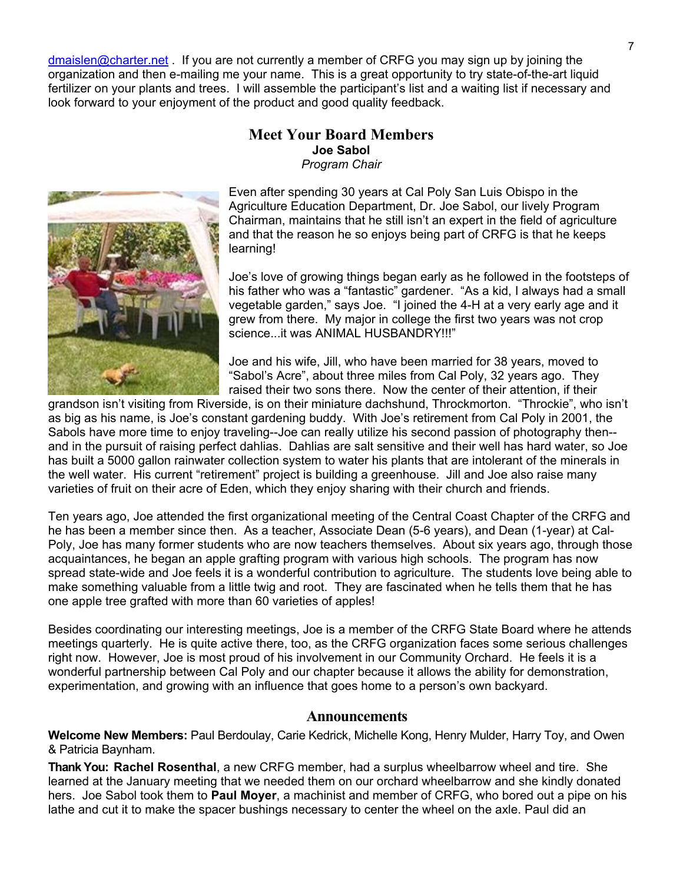dmaislen@charter.net . If you are not currently a member of CRFG you may sign up by joining the [organization](mailto:dmaislen@charter.net) and then e-mailing me your name. This is a great opportunity to try state-of-the-art liquid fertilizer on your plants and trees. I will assemble the participant's list and a waiting list if necessary and look forward to your enjoyment of the product and good quality feedback.

#### **Meet Your Board Members** *P r rogram Chai* **Joe Sabol**



Even after spending 30 years at Cal Poly San Luis Obispo in the Agriculture Education Department, Dr. Joe Sabol, our lively Program Chairman, maintains that he still isn't an expert in the field of agriculture and that the reason he so enjoys being part of CRFG is that he keeps learning!

Joe's love of growing things began early as he followed in the footsteps of his father who was a "fantastic" gardener. "As a kid, I always had a small vegetable garden," says Joe. "I joined the 4-H at a very early age and it grew from there. My major in college the first two years was not crop science...it was ANIMAL HUSBANDRY!!!"

Joe and his wife, Jill, who have been married for 38 years, moved to "Sabol's Acre", about three miles from Cal Poly, 32 years ago. They raised their two sons there. Now the center of their attention, if their

grandson isn't visiting from Riverside, is on their miniature dachshund, Throckmorton. "Throckie", who isn't and in the pursuit of raising perfect dahlias. Dahlias are salt sensitive and their well has hard water, so Joe as big as his name, is Joe's constant gardening buddy. With Joe's retirement from Cal Poly in 2001, the Sabols have more time to enjoy traveling--Joe can really utilize his second passion of photography then- has built a 5000 gallon rainwater collection system to water his plants that are intolerant of the minerals in the well water. His current "retirement" project is building a greenhouse. Jill and Joe also raise many varieties of fruit on their acre of Eden, which they enjoy sharing with their church and friends.

Ten years ago, Joe attended the first organizational meeting of the Central Coast Chapter of the CRFG and Poly, Joe has many former students who are now teachers themselves. About six years ago, through those spread state-wide and Joe feels it is a wonderful contribution to agriculture. The students love being able to he has been a member since then. As a teacher, Associate Dean (5-6 years), and Dean (1-year) at Calacquaintances, he began an apple grafting program with various high schools. The program has now make something valuable from a little twig and root. They are fascinated when he tells them that he has one apple tree grafted with more than 60 varieties of apples!

Besides coordinating our interesting meetings, Joe is a member of the CRFG State Board where he attends wonderful partnership between Cal Poly and our chapter because it allows the ability for demonstration, meetings quarterly. He is quite active there, too, as the CRFG organization faces some serious challenges right now. However, Joe is most proud of his involvement in our Community Orchard. He feels it is a experimentation, and growing with an influence that goes home to a person's own backyard.

#### **Announcements**

**Welcome New Members:** Paul Berdoulay, Carie Kedrick, Michelle Kong, Henry Mulder, Harry Toy, and Owen & Patricia Baynham.

Thank You: Rachel Rosenthal, a new CRFG member, had a surplus wheelbarrow wheel and tire. She learned at the January meeting that we needed them on our orchard wheelbarrow and she kindly donated hers. Joe Sabol took them to **Paul Moyer**, a machinist and member of CRFG, who bored out a pipe on his lathe and cut it to make the spacer bushings necessary to center the wheel on the axle. Paul did an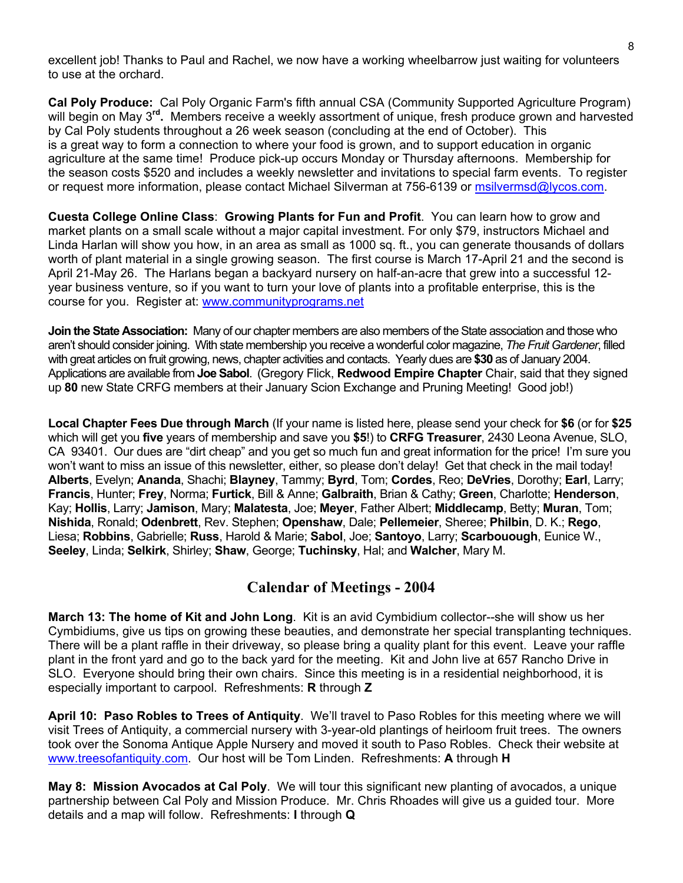excellent job! Thanks to Paul and Rachel, we now have a working wheelbarrow just waiting for volunteers to use at the orchard.

**Cal Poly Produce:** Cal Poly Organic Farm's fifth annual CSA (Community Supported Agriculture Program) will begin on May 3**rd.** Members receive a weekly assortment of unique, fresh produce grown and harvested by Cal Poly students throughout a 26 week season (concluding at the end of October). This is a great way to form a connection to where your food is grown, and to support education in organic agriculture at the same time! Produce pick-up occurs Monday or Thursday afternoons. Membership for the season costs \$520 and includes a weekly newsletter and invitations to special farm events. To register or request more information, please contact Michael Silverman at 756-6139 or [msilvermsd@lycos.com.](mailto:msilvermsd@lycos.com)

**Cuesta College Online Class**: **[Growing Plants for Fun and Profit](http://www.communityprograms.net/onlinecourses/ogindex.htm)**. You can learn how to grow and market plants on a small scale without a major capital investment. For only \$79, instructors Michael and Linda Harlan will show you how, in an area as small as 1000 sq. ft., you can generate thousands of dollars worth of plant material in a single growing season. The first course is March 17-April 21 and the second is April 21-May 26. The Harlans began a backyard nursery on half-an-acre that grew into a successful 12 year business venture, so if you want to turn your love of plants into a profitable enterprise, this is the course for you. Register at: [www.communityprograms.net](http://www.communityprograms.net/)

**Join the State Association:** Many of our chapter members are also members of the State association and those who aren't should consider joining. With state membership you receive a wonderful color magazine, *The Fruit Gardener*, filled with great articles on fruit growing, news, chapter activities and contacts. Yearly dues are **\$30** as of January 2004. Applications are available from **Joe Sabol**. (Gregory Flick, **Redwood Empire Chapter** Chair, said that they signed up **80** new State CRFG members at their January Scion Exchange and Pruning Meeting! Good job!)

**Local Chapter Fees Due through March** (If your name is listed here, please send your check for **\$6** (or for **\$25** which will get you **five** years of membership and save you **\$5**!) to **CRFG Treasurer**, 2430 Leona Avenue, SLO, CA 93401. Our dues are "dirt cheap" and you get so much fun and great information for the price! I'm sure you won't want to miss an issue of this newsletter, either, so please don't delay! Get that check in the mail today! **Alberts**, Evelyn; **Ananda**, Shachi; **Blayney**, Tammy; **Byrd**, Tom; **Cordes**, Reo; **DeVries**, Dorothy; **Earl**, Larry; **Francis**, Hunter; **Frey**, Norma; **Furtick**, Bill & Anne; **Galbraith**, Brian & Cathy; **Green**, Charlotte; **Henderson**, Kay; **Hollis**, Larry; **Jamison**, Mary; **Malatesta**, Joe; **Meyer**, Father Albert; **Middlecamp**, Betty; **Muran**, Tom; **Nishida**, Ronald; **Odenbrett**, Rev. Stephen; **Openshaw**, Dale; **Pellemeier**, Sheree; **Philbin**, D. K.; **Rego**, Liesa; **Robbins**, Gabrielle; **Russ**, Harold & Marie; **Sabol**, Joe; **Santoyo**, Larry; **Scarbouough**, Eunice W., **Seeley**, Linda; **Selkirk**, Shirley; **Shaw**, George; **Tuchinsky**, Hal; and **Walcher**, Mary M.

### **Calendar of Meetings - 2004**

**March 13: The home of Kit and John Long**. Kit is an avid Cymbidium collector--she will show us her Cymbidiums, give us tips on growing these beauties, and demonstrate her special transplanting techniques. There will be a plant raffle in their driveway, so please bring a quality plant for this event. Leave your raffle plant in the front yard and go to the back yard for the meeting. Kit and John live at 657 Rancho Drive in SLO. Everyone should bring their own chairs. Since this meeting is in a residential neighborhood, it is especially important to carpool. Refreshments: **R** through **Z** 

**April 10: Paso Robles to Trees of Antiquity**. We'll travel to Paso Robles for this meeting where we will visit Trees of Antiquity, a commercial nursery with 3-year-old plantings of heirloom fruit trees. The owners took over the Sonoma Antique Apple Nursery and moved it south to Paso Robles. Check their website at [www.treesofantiquity.com](http://www.treesofantiquity.com/). Our host will be Tom Linden. Refreshments: **A** through **H**

**May 8: Mission Avocados at Cal Poly**. We will tour this significant new planting of avocados, a unique partnership between Cal Poly and Mission Produce. Mr. Chris Rhoades will give us a guided tour. More details and a map will follow. Refreshments: **I** through **Q**